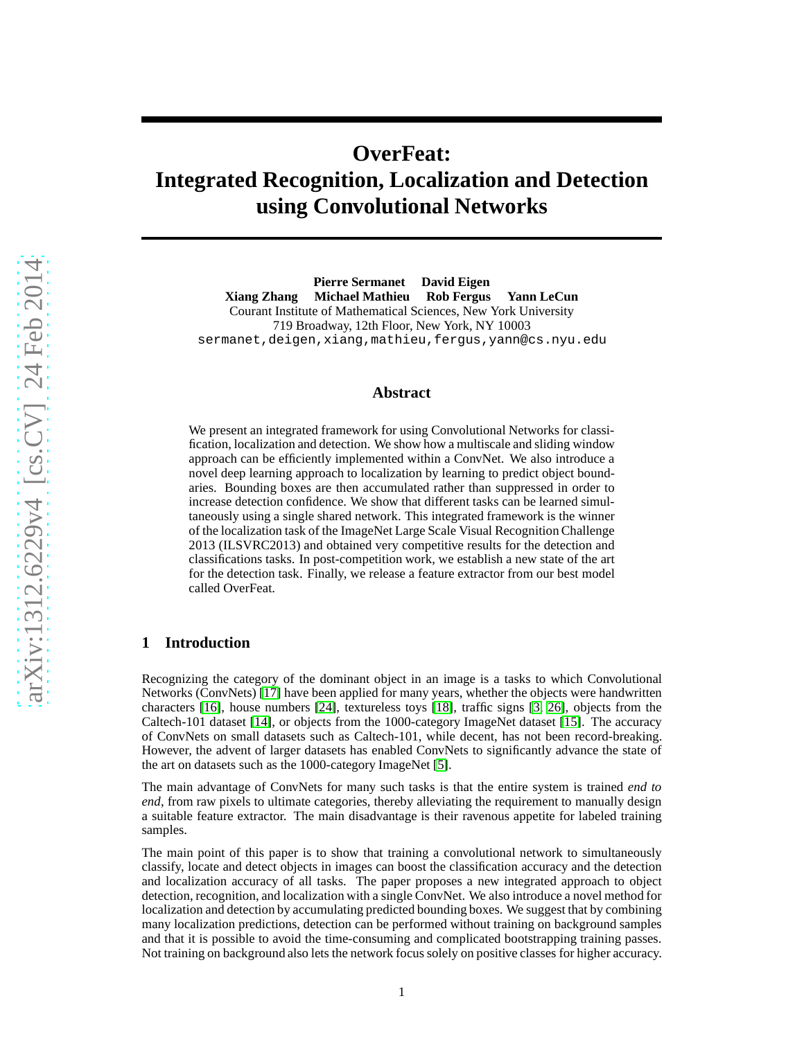# **OverFeat: Integrated Recognition, Localization and Detection using Convolutional Networks**

**Pierre Sermanet David Eigen Xiang Zhang Michael Mathieu Rob Fergus Yann LeCun** Courant Institute of Mathematical Sciences, New York University 719 Broadway, 12th Floor, New York, NY 10003 sermanet,deigen,xiang,mathieu,fergus,yann@cs.nyu.edu

## **Abstract**

We present an integrated framework for using Convolutional Networks for classification, localization and detection. We show how a multiscale and sliding window approach can be efficiently implemented within a ConvNet. We also introduce a novel deep learning approach to localization by learning to predict object boundaries. Bounding boxes are then accumulated rather than suppressed in order to increase detection confidence. We show that different tasks can be learned simultaneously using a single shared network. This integrated framework is the winner of the localization task of the ImageNet Large Scale Visual Recognition Challenge 2013 (ILSVRC2013) and obtained very competitive results for the detection and classifications tasks. In post-competition work, we establish a new state of the art for the detection task. Finally, we release a feature extractor from our best model called OverFeat.

## **1 Introduction**

Recognizing the category of the dominant object in an image is a tasks to which Convolutional Networks (ConvNets) [\[17\]](#page-14-0) have been applied for many years, whether the objects were handwritten characters [\[16\]](#page-14-1), house numbers [\[24\]](#page-14-2), textureless toys [\[18\]](#page-14-3), traffic signs [\[3,](#page-13-0) [26\]](#page-14-4), objects from the Caltech-101 dataset [\[14\]](#page-13-1), or objects from the 1000-category ImageNet dataset [\[15\]](#page-14-5). The accuracy of ConvNets on small datasets such as Caltech-101, while decent, has not been record-breaking. However, the advent of larger datasets has enabled ConvNets to significantly advance the state of the art on datasets such as the 1000-category ImageNet [\[5\]](#page-13-2).

The main advantage of ConvNets for many such tasks is that the entire system is trained *end to end*, from raw pixels to ultimate categories, thereby alleviating the requirement to manually design a suitable feature extractor. The main disadvantage is their ravenous appetite for labeled training samples.

The main point of this paper is to show that training a convolutional network to simultaneously classify, locate and detect objects in images can boost the classification accuracy and the detection and localization accuracy of all tasks. The paper proposes a new integrated approach to object detection, recognition, and localization with a single ConvNet. We also introduce a novel method for localization and detection by accumulating predicted bounding boxes. We suggest that by combining many localization predictions, detection can be performed without training on background samples and that it is possible to avoid the time-consuming and complicated bootstrapping training passes. Not training on background also lets the network focus solely on positive classes for higher accuracy.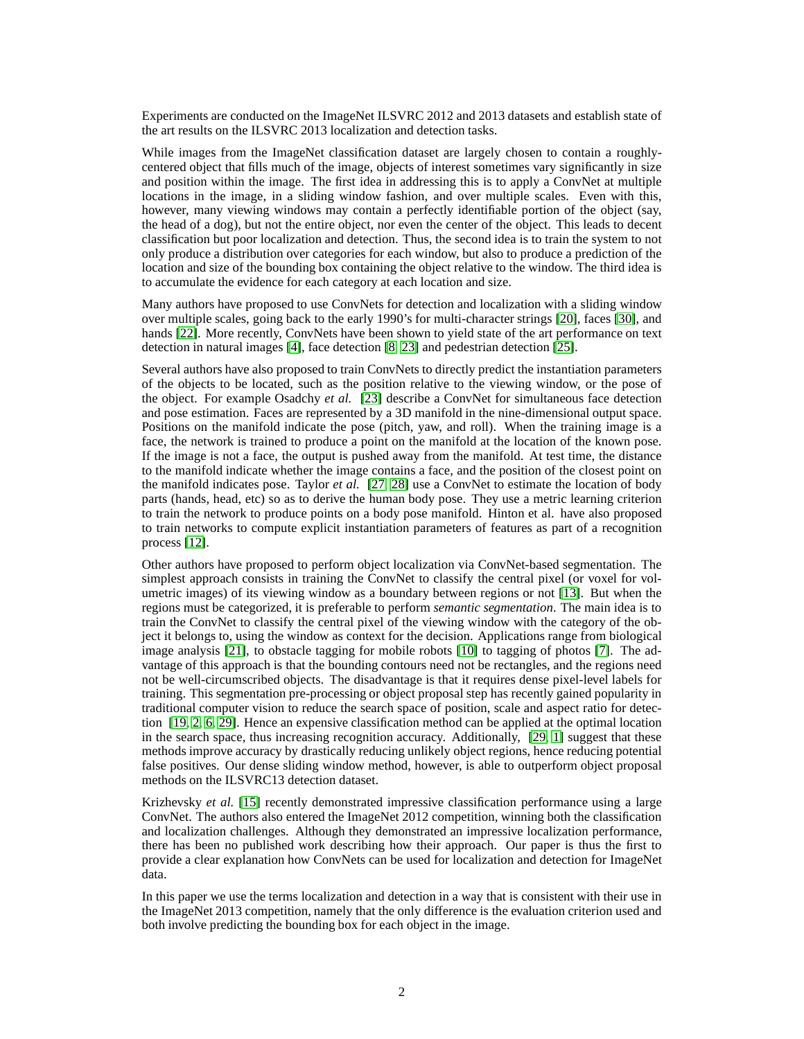Experiments are conducted on the ImageNet ILSVRC 2012 and 2013 datasets and establish state of the art results on the ILSVRC 2013 localization and detection tasks.

While images from the ImageNet classification dataset are largely chosen to contain a roughlycentered object that fills much of the image, objects of interest sometimes vary significantly in size and position within the image. The first idea in addressing this is to apply a ConvNet at multiple locations in the image, in a sliding window fashion, and over multiple scales. Even with this, however, many viewing windows may contain a perfectly identifiable portion of the object (say, the head of a dog), but not the entire object, nor even the center of the object. This leads to decent classification but poor localization and detection. Thus, the second idea is to train the system to not only produce a distribution over categories for each window, but also to produce a prediction of the location and size of the bounding box containing the object relative to the window. The third idea is to accumulate the evidence for each category at each location and size.

Many authors have proposed to use ConvNets for detection and localization with a sliding window over multiple scales, going back to the early 1990's for multi-character strings [\[20\]](#page-14-6), faces [\[30\]](#page-14-7), and hands [\[22\]](#page-14-8). More recently, ConvNets have been shown to yield state of the art performance on text detection in natural images [\[4\]](#page-13-3), face detection [\[8,](#page-13-4) [23\]](#page-14-9) and pedestrian detection [\[25\]](#page-14-10).

Several authors have also proposed to train ConvNets to directly predict the instantiation parameters of the objects to be located, such as the position relative to the viewing window, or the pose of the object. For example Osadchy *et al.* [\[23\]](#page-14-9) describe a ConvNet for simultaneous face detection and pose estimation. Faces are represented by a 3D manifold in the nine-dimensional output space. Positions on the manifold indicate the pose (pitch, yaw, and roll). When the training image is a face, the network is trained to produce a point on the manifold at the location of the known pose. If the image is not a face, the output is pushed away from the manifold. At test time, the distance to the manifold indicate whether the image contains a face, and the position of the closest point on the manifold indicates pose. Taylor *et al.* [\[27,](#page-14-11) [28\]](#page-14-12) use a ConvNet to estimate the location of body parts (hands, head, etc) so as to derive the human body pose. They use a metric learning criterion to train the network to produce points on a body pose manifold. Hinton et al. have also proposed to train networks to compute explicit instantiation parameters of features as part of a recognition process [\[12\]](#page-13-5).

Other authors have proposed to perform object localization via ConvNet-based segmentation. The simplest approach consists in training the ConvNet to classify the central pixel (or voxel for volumetric images) of its viewing window as a boundary between regions or not [\[13\]](#page-13-6). But when the regions must be categorized, it is preferable to perform *semantic segmentation*. The main idea is to train the ConvNet to classify the central pixel of the viewing window with the category of the object it belongs to, using the window as context for the decision. Applications range from biological image analysis [\[21\]](#page-14-13), to obstacle tagging for mobile robots [\[10\]](#page-13-7) to tagging of photos [\[7\]](#page-13-8). The advantage of this approach is that the bounding contours need not be rectangles, and the regions need not be well-circumscribed objects. The disadvantage is that it requires dense pixel-level labels for training. This segmentation pre-processing or object proposal step has recently gained popularity in traditional computer vision to reduce the search space of position, scale and aspect ratio for detection [\[19,](#page-14-14) [2,](#page-13-9) [6,](#page-13-10) [29\]](#page-14-15). Hence an expensive classification method can be applied at the optimal location in the search space, thus increasing recognition accuracy. Additionally, [\[29,](#page-14-15) [1\]](#page-13-11) suggest that these methods improve accuracy by drastically reducing unlikely object regions, hence reducing potential false positives. Our dense sliding window method, however, is able to outperform object proposal methods on the ILSVRC13 detection dataset.

Krizhevsky *et al.* [\[15\]](#page-14-5) recently demonstrated impressive classification performance using a large ConvNet. The authors also entered the ImageNet 2012 competition, winning both the classification and localization challenges. Although they demonstrated an impressive localization performance, there has been no published work describing how their approach. Our paper is thus the first to provide a clear explanation how ConvNets can be used for localization and detection for ImageNet data.

In this paper we use the terms localization and detection in a way that is consistent with their use in the ImageNet 2013 competition, namely that the only difference is the evaluation criterion used and both involve predicting the bounding box for each object in the image.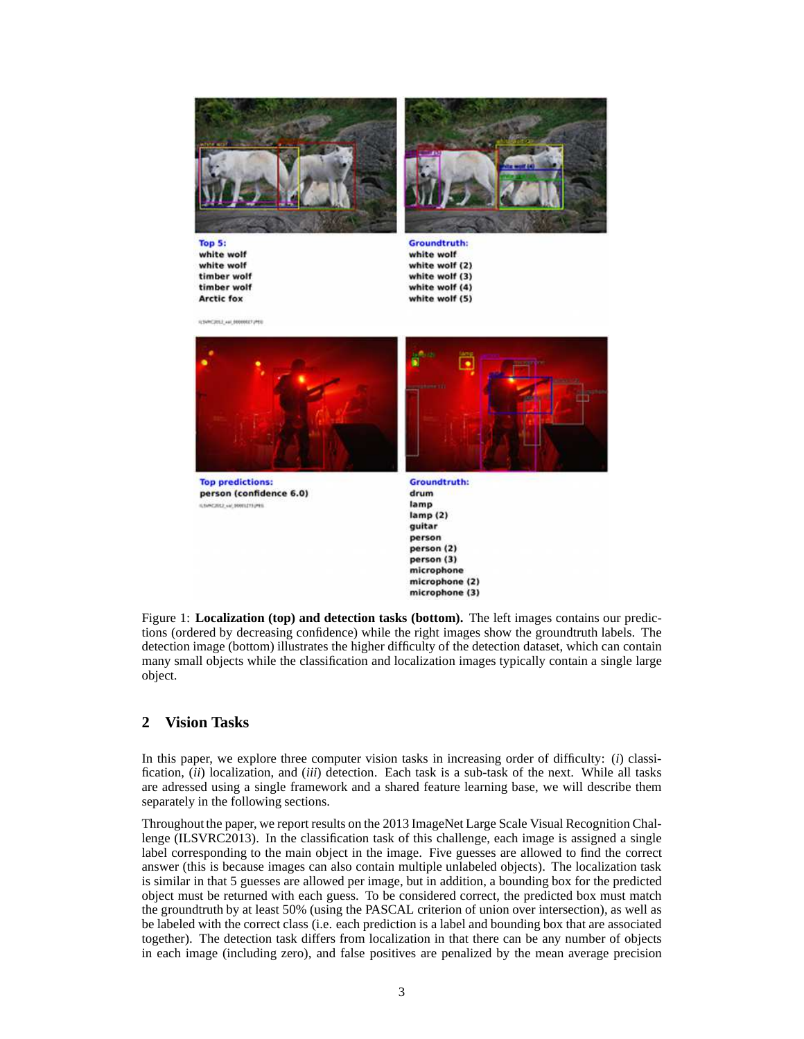



Top 5: white wolf white wolf timber wolf timber wolf **Arctic fox** 

**Groundtruth:** white wolf white wolf (2) white wolf (3) white wolf (4) white wolf (5)

**ILSVINGERS**, AN, 00000027240



**Top predictions:** person (confidence 6.0) In NANTISER'S and Report FOLLOWS



**Groundtruth:** drum lamp  $lamp(2)$ guitar person person (2) person (3) microphone microphone (2) microphone (3)

<span id="page-2-0"></span>Figure 1: **Localization (top) and detection tasks (bottom).** The left images contains our predictions (ordered by decreasing confidence) while the right images show the groundtruth labels. The detection image (bottom) illustrates the higher difficulty of the detection dataset, which can contain many small objects while the classification and localization images typically contain a single large object.

## **2 Vision Tasks**

In this paper, we explore three computer vision tasks in increasing order of difficulty: (*i*) classification, (*ii*) localization, and (*iii*) detection. Each task is a sub-task of the next. While all tasks are adressed using a single framework and a shared feature learning base, we will describe them separately in the following sections.

Throughout the paper, we report results on the 2013 ImageNet Large Scale Visual Recognition Challenge (ILSVRC2013). In the classification task of this challenge, each image is assigned a single label corresponding to the main object in the image. Five guesses are allowed to find the correct answer (this is because images can also contain multiple unlabeled objects). The localization task is similar in that 5 guesses are allowed per image, but in addition, a bounding box for the predicted object must be returned with each guess. To be considered correct, the predicted box must match the groundtruth by at least 50% (using the PASCAL criterion of union over intersection), as well as be labeled with the correct class (i.e. each prediction is a label and bounding box that are associated together). The detection task differs from localization in that there can be any number of objects in each image (including zero), and false positives are penalized by the mean average precision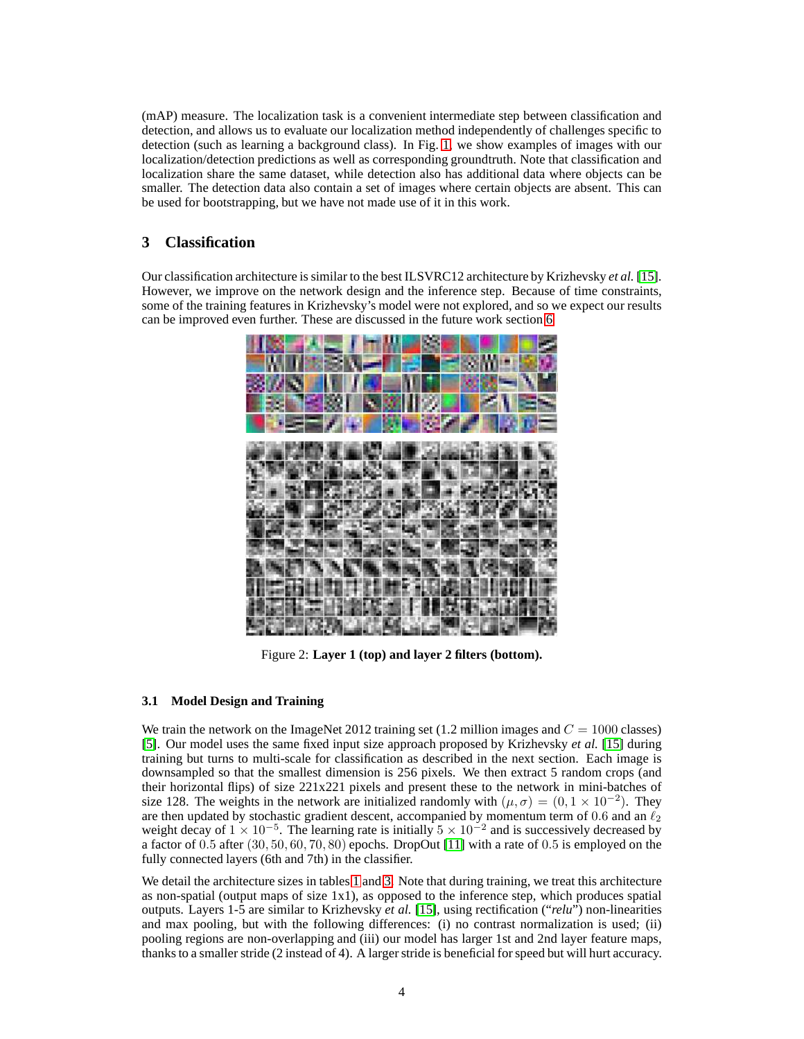(mAP) measure. The localization task is a convenient intermediate step between classification and detection, and allows us to evaluate our localization method independently of challenges specific to detection (such as learning a background class). In Fig. [1,](#page-2-0) we show examples of images with our localization/detection predictions as well as corresponding groundtruth. Note that classification and localization share the same dataset, while detection also has additional data where objects can be smaller. The detection data also contain a set of images where certain objects are absent. This can be used for bootstrapping, but we have not made use of it in this work.

# <span id="page-3-1"></span>**3 Classification**

Our classification architecture is similar to the best ILSVRC12 architecture by Krizhevsky *et al.* [\[15\]](#page-14-5). However, we improve on the network design and the inference step. Because of time constraints, some of the training features in Krizhevsky's model were not explored, and so we expect our results can be improved even further. These are discussed in the future work section [6](#page-13-12)



Figure 2: **Layer 1 (top) and layer 2 filters (bottom).**

## <span id="page-3-0"></span>**3.1 Model Design and Training**

We train the network on the ImageNet 2012 training set (1.2 million images and  $C = 1000$  classes) [\[5\]](#page-13-2). Our model uses the same fixed input size approach proposed by Krizhevsky *et al.* [\[15\]](#page-14-5) during training but turns to multi-scale for classification as described in the next section. Each image is downsampled so that the smallest dimension is 256 pixels. We then extract 5 random crops (and their horizontal flips) of size 221x221 pixels and present these to the network in mini-batches of size 128. The weights in the network are initialized randomly with  $(\mu, \sigma) = (0, 1 \times 10^{-2})$ . They are then updated by stochastic gradient descent, accompanied by momentum term of 0.6 and an  $\ell_2$ weight decay of  $1 \times 10^{-5}$ . The learning rate is initially  $5 \times 10^{-2}$  and is successively decreased by a factor of 0.5 after (30, 50, 60, 70, 80) epochs. DropOut [\[11\]](#page-13-13) with a rate of 0.5 is employed on the fully connected layers (6th and 7th) in the classifier.

We detail the architecture sizes in tables [1](#page-4-0) and [3.](#page-15-0) Note that during training, we treat this architecture as non-spatial (output maps of size 1x1), as opposed to the inference step, which produces spatial outputs. Layers 1-5 are similar to Krizhevsky *et al.* [\[15\]](#page-14-5), using rectification ("*relu*") non-linearities and max pooling, but with the following differences: (i) no contrast normalization is used; (ii) pooling regions are non-overlapping and (iii) our model has larger 1st and 2nd layer feature maps, thanks to a smaller stride (2 instead of 4). A larger stride is beneficial for speed but will hurt accuracy.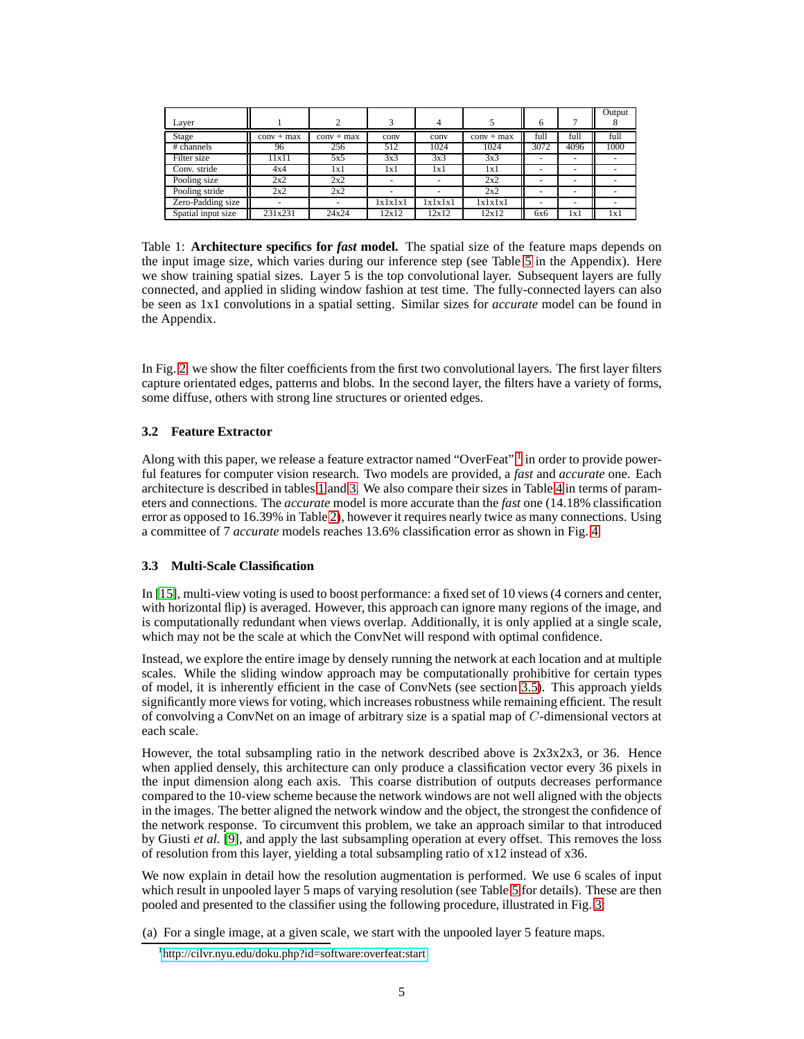| Layer              |              |              |         | 4       |              | 6                        |      | Output |
|--------------------|--------------|--------------|---------|---------|--------------|--------------------------|------|--------|
| Stage              | $conv + max$ | $conv + max$ | conv    | conv    | $conv + max$ | full                     | full | full   |
| # channels         | 96           | 256          | 512     | 1024    | 1024         | 3072                     | 4096 | 1000   |
| Filter size        | 11x11        | 5x5          | 3x3     | 3x3     | 3x3          |                          |      |        |
| Conv. stride       | 4x4          | 1x1          | 1x1     | 1x1     | 1x1          | $\overline{\phantom{a}}$ | -    |        |
| Pooling size       | 2x2          | 2x2          | -       | ۰       | 2x2          | -                        |      |        |
| Pooling stride     | 2x2          | 2x2          | -       | ۰       | 2x2          |                          | -    |        |
| Zero-Padding size  | ۰            |              | 1x1x1x1 | 1x1x1x1 | 1x1x1x1      | -                        | -    |        |
| Spatial input size | 231x231      | 24x24        | 12x12   | 12x12   | 12x12        | 6x6                      | 1x1  | 1x1    |

<span id="page-4-0"></span>Table 1: **Architecture specifics for** *fast* **model.** The spatial size of the feature maps depends on the input image size, which varies during our inference step (see Table [5](#page-15-1) in the Appendix). Here we show training spatial sizes. Layer 5 is the top convolutional layer. Subsequent layers are fully connected, and applied in sliding window fashion at test time. The fully-connected layers can also be seen as 1x1 convolutions in a spatial setting. Similar sizes for *accurate* model can be found in the Appendix.

In Fig. [2,](#page-3-0) we show the filter coefficients from the first two convolutional layers. The first layer filters capture orientated edges, patterns and blobs. In the second layer, the filters have a variety of forms, some diffuse, others with strong line structures or oriented edges.

## **3.2 Feature Extractor**

Along with this paper, we release a feature extractor named "OverFeat" <sup>[1](#page-4-1)</sup> in order to provide powerful features for computer vision research. Two models are provided, a *fast* and *accurate* one. Each architecture is described in tables [1](#page-4-0) and [3.](#page-15-0) We also compare their sizes in Table [4](#page-15-2) in terms of parameters and connections. The *accurate* model is more accurate than the *fast* one (14.18% classification error as opposed to 16.39% in Table [2\)](#page-6-0), however it requires nearly twice as many connections. Using a committee of 7 *accurate* models reaches 13.6% classification error as shown in Fig. [4.](#page-6-1)

## <span id="page-4-2"></span>**3.3 Multi-Scale Classification**

In [\[15\]](#page-14-5), multi-view voting is used to boost performance: a fixed set of 10 views (4 corners and center, with horizontal flip) is averaged. However, this approach can ignore many regions of the image, and is computationally redundant when views overlap. Additionally, it is only applied at a single scale, which may not be the scale at which the ConvNet will respond with optimal confidence.

Instead, we explore the entire image by densely running the network at each location and at multiple scales. While the sliding window approach may be computationally prohibitive for certain types of model, it is inherently efficient in the case of ConvNets (see section [3.5\)](#page-6-2). This approach yields significantly more views for voting, which increases robustness while remaining efficient. The result of convolving a ConvNet on an image of arbitrary size is a spatial map of C-dimensional vectors at each scale.

However, the total subsampling ratio in the network described above is  $2x3x2x3$ , or 36. Hence when applied densely, this architecture can only produce a classification vector every 36 pixels in the input dimension along each axis. This coarse distribution of outputs decreases performance compared to the 10-view scheme because the network windows are not well aligned with the objects in the images. The better aligned the network window and the object, the strongest the confidence of the network response. To circumvent this problem, we take an approach similar to that introduced by Giusti *et al.* [\[9\]](#page-13-14), and apply the last subsampling operation at every offset. This removes the loss of resolution from this layer, yielding a total subsampling ratio of x12 instead of x36.

We now explain in detail how the resolution augmentation is performed. We use 6 scales of input which result in unpooled layer [5](#page-15-1) maps of varying resolution (see Table 5 for details). These are then pooled and presented to the classifier using the following procedure, illustrated in Fig. [3:](#page-5-0)

(a) For a single image, at a given scale, we start with the unpooled layer 5 feature maps.

<span id="page-4-1"></span><sup>1</sup> <http://cilvr.nyu.edu/doku.php?id=software:overfeat:start>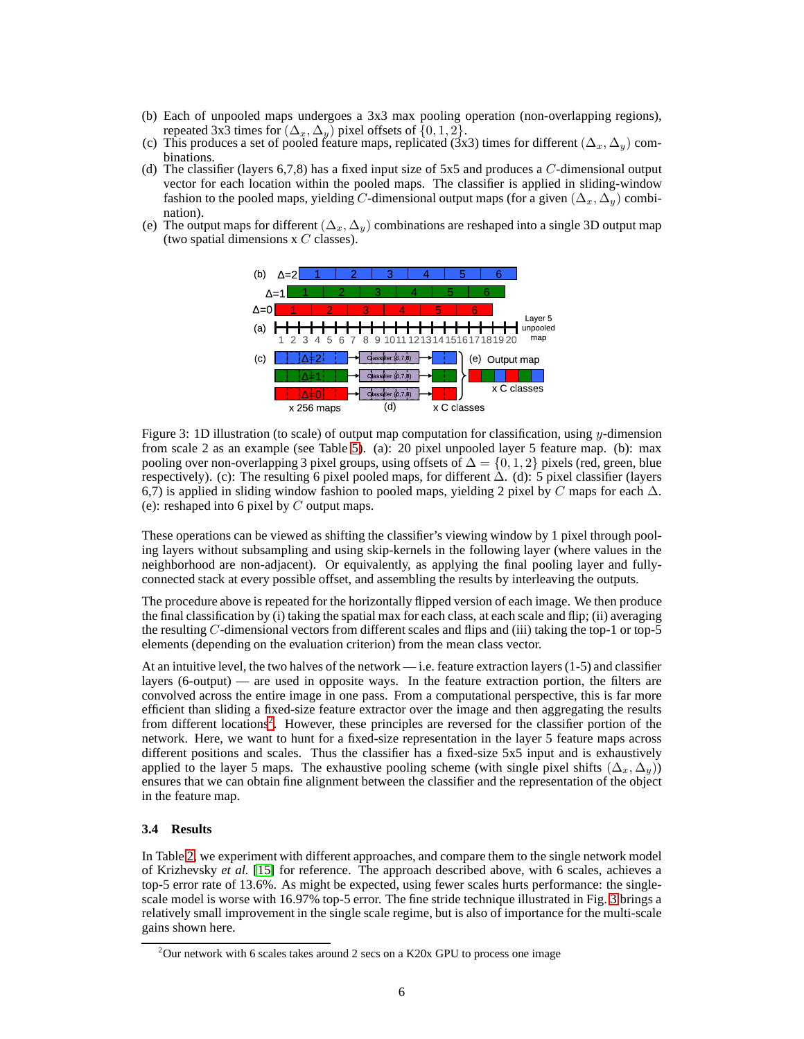- (b) Each of unpooled maps undergoes a 3x3 max pooling operation (non-overlapping regions), repeated 3x3 times for  $(\Delta_x, \Delta_y)$  pixel offsets of  $\{0, 1, 2\}.$
- (c) This produces a set of pooled feature maps, replicated (3x3) times for different  $(\Delta_x, \Delta_y)$  combinations.
- (d) The classifier (layers  $6,7,8$ ) has a fixed input size of 5x5 and produces a C-dimensional output vector for each location within the pooled maps. The classifier is applied in sliding-window fashion to the pooled maps, yielding C-dimensional output maps (for a given  $(\Delta_x, \Delta_y)$  combination).
- (e) The output maps for different  $(\Delta_x, \Delta_y)$  combinations are reshaped into a single 3D output map (two spatial dimensions  $x C$  classes).



<span id="page-5-0"></span>Figure 3: 1D illustration (to scale) of output map computation for classification, using y-dimension from scale 2 as an example (see Table [5\)](#page-15-1). (a): 20 pixel unpooled layer 5 feature map. (b): max pooling over non-overlapping 3 pixel groups, using offsets of  $\Delta = \{0, 1, 2\}$  pixels (red, green, blue respectively). (c): The resulting 6 pixel pooled maps, for different  $\Delta$ . (d): 5 pixel classifier (layers 6,7) is applied in sliding window fashion to pooled maps, yielding 2 pixel by C maps for each  $\Delta$ . (e): reshaped into 6 pixel by  $C$  output maps.

These operations can be viewed as shifting the classifier's viewing window by 1 pixel through pooling layers without subsampling and using skip-kernels in the following layer (where values in the neighborhood are non-adjacent). Or equivalently, as applying the final pooling layer and fullyconnected stack at every possible offset, and assembling the results by interleaving the outputs.

The procedure above is repeated for the horizontally flipped version of each image. We then produce the final classification by (i) taking the spatial max for each class, at each scale and flip; (ii) averaging the resulting  $C$ -dimensional vectors from different scales and flips and (iii) taking the top-1 or top-5 elements (depending on the evaluation criterion) from the mean class vector.

At an intuitive level, the two halves of the network — i.e. feature extraction layers (1-5) and classifier layers (6-output) — are used in opposite ways. In the feature extraction portion, the filters are convolved across the entire image in one pass. From a computational perspective, this is far more efficient than sliding a fixed-size feature extractor over the image and then aggregating the results from different locations<sup>[2](#page-5-1)</sup>. However, these principles are reversed for the classifier portion of the network. Here, we want to hunt for a fixed-size representation in the layer 5 feature maps across different positions and scales. Thus the classifier has a fixed-size 5x5 input and is exhaustively applied to the layer 5 maps. The exhaustive pooling scheme (with single pixel shifts  $(\Delta_x, \Delta_y)$ ) ensures that we can obtain fine alignment between the classifier and the representation of the object in the feature map.

## **3.4 Results**

In Table [2,](#page-6-0) we experiment with different approaches, and compare them to the single network model of Krizhevsky *et al.* [\[15\]](#page-14-5) for reference. The approach described above, with 6 scales, achieves a top-5 error rate of 13.6%. As might be expected, using fewer scales hurts performance: the singlescale model is worse with 16.97% top-5 error. The fine stride technique illustrated in Fig. [3](#page-5-0) brings a relatively small improvement in the single scale regime, but is also of importance for the multi-scale gains shown here.

<span id="page-5-1"></span><sup>&</sup>lt;sup>2</sup>Our network with 6 scales takes around 2 secs on a K20x GPU to process one image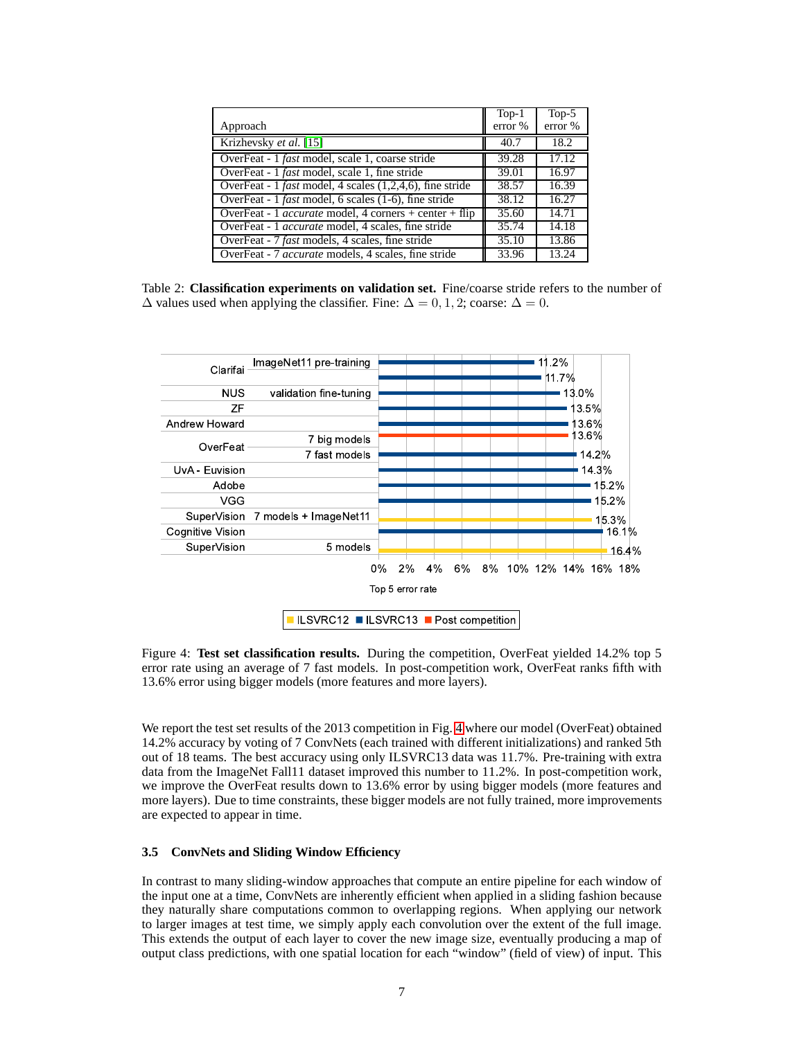|                                                                    | $Top-1$ | Top- $5$ |
|--------------------------------------------------------------------|---------|----------|
| Approach                                                           | error % | error %  |
| Krizhevsky et al. [15]                                             | 40.7    | 18.2     |
| OverFeat - 1 fast model, scale 1, coarse stride                    | 39.28   | 17.12    |
| OverFeat - 1 <i>fast</i> model, scale 1, fine stride               | 39.01   | 16.97    |
| OverFeat - 1 <i>fast</i> model, 4 scales $(1,2,4,6)$ , fine stride | 38.57   | 16.39    |
| OverFeat - 1 <i>fast</i> model, 6 scales (1-6), fine stride        | 38.12   | 16.27    |
| OverFeat - 1 <i>accurate</i> model, 4 corners + center + flip      | 35.60   | 14.71    |
| OverFeat - 1 <i>accurate</i> model, 4 scales, fine stride          | 35.74   | 14.18    |
| OverFeat - 7 fast models, 4 scales, fine stride                    | 35.10   | 13.86    |
| OverFeat - 7 <i>accurate</i> models, 4 scales, fine stride         | 33.96   | 13.24    |

<span id="page-6-0"></span>Table 2: **Classification experiments on validation set.** Fine/coarse stride refers to the number of  $\Delta$  values used when applying the classifier. Fine:  $\Delta = 0, 1, 2$ ; coarse:  $\Delta = 0$ .



<span id="page-6-1"></span>Figure 4: **Test set classification results.** During the competition, OverFeat yielded 14.2% top 5 error rate using an average of 7 fast models. In post-competition work, OverFeat ranks fifth with 13.6% error using bigger models (more features and more layers).

We report the test set results of the 2013 competition in Fig. [4](#page-6-1) where our model (OverFeat) obtained 14.2% accuracy by voting of 7 ConvNets (each trained with different initializations) and ranked 5th out of 18 teams. The best accuracy using only ILSVRC13 data was 11.7%. Pre-training with extra data from the ImageNet Fall11 dataset improved this number to 11.2%. In post-competition work, we improve the OverFeat results down to 13.6% error by using bigger models (more features and more layers). Due to time constraints, these bigger models are not fully trained, more improvements are expected to appear in time.

#### <span id="page-6-2"></span>**3.5 ConvNets and Sliding Window Efficiency**

In contrast to many sliding-window approaches that compute an entire pipeline for each window of the input one at a time, ConvNets are inherently efficient when applied in a sliding fashion because they naturally share computations common to overlapping regions. When applying our network to larger images at test time, we simply apply each convolution over the extent of the full image. This extends the output of each layer to cover the new image size, eventually producing a map of output class predictions, with one spatial location for each "window" (field of view) of input. This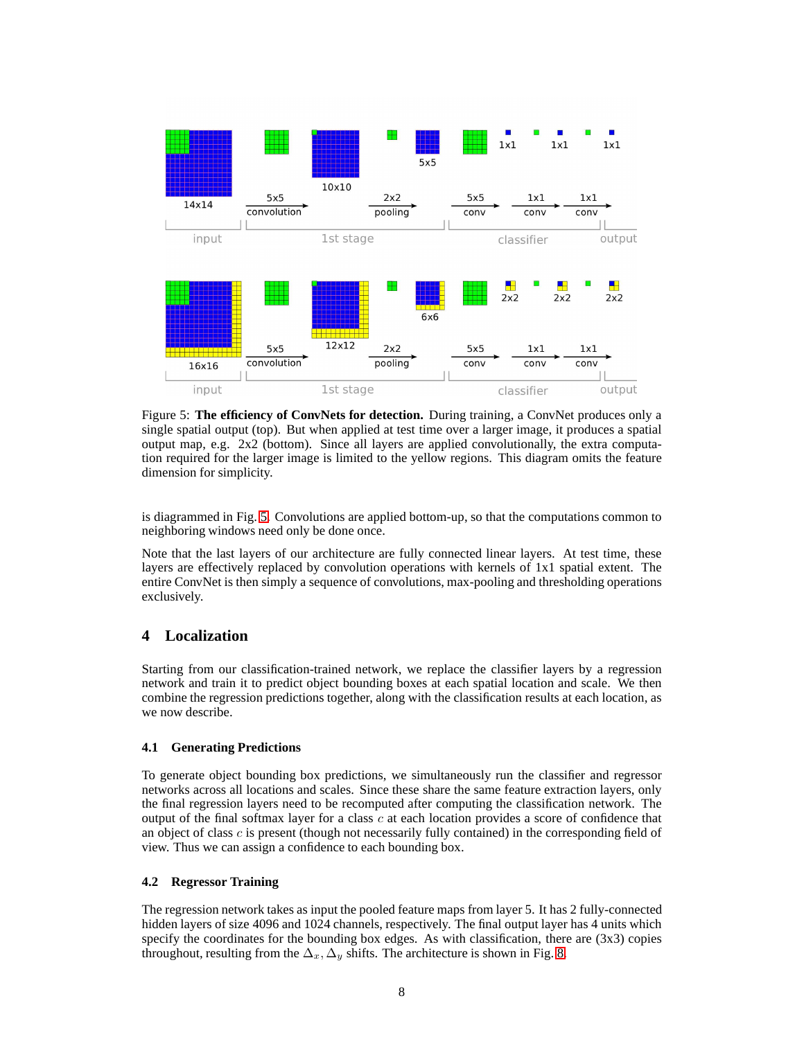

<span id="page-7-0"></span>Figure 5: **The efficiency of ConvNets for detection.** During training, a ConvNet produces only a single spatial output (top). But when applied at test time over a larger image, it produces a spatial output map, e.g. 2x2 (bottom). Since all layers are applied convolutionally, the extra computation required for the larger image is limited to the yellow regions. This diagram omits the feature dimension for simplicity.

is diagrammed in Fig. [5.](#page-7-0) Convolutions are applied bottom-up, so that the computations common to neighboring windows need only be done once.

Note that the last layers of our architecture are fully connected linear layers. At test time, these layers are effectively replaced by convolution operations with kernels of 1x1 spatial extent. The entire ConvNet is then simply a sequence of convolutions, max-pooling and thresholding operations exclusively.

# **4 Localization**

Starting from our classification-trained network, we replace the classifier layers by a regression network and train it to predict object bounding boxes at each spatial location and scale. We then combine the regression predictions together, along with the classification results at each location, as we now describe.

## **4.1 Generating Predictions**

To generate object bounding box predictions, we simultaneously run the classifier and regressor networks across all locations and scales. Since these share the same feature extraction layers, only the final regression layers need to be recomputed after computing the classification network. The output of the final softmax layer for a class c at each location provides a score of confidence that an object of class  $c$  is present (though not necessarily fully contained) in the corresponding field of view. Thus we can assign a confidence to each bounding box.

## **4.2 Regressor Training**

The regression network takes as input the pooled feature maps from layer 5. It has 2 fully-connected hidden layers of size 4096 and 1024 channels, respectively. The final output layer has 4 units which specify the coordinates for the bounding box edges. As with classification, there are  $(3x3)$  copies throughout, resulting from the  $\Delta_x, \Delta_y$  shifts. The architecture is shown in Fig. [8.](#page-10-0)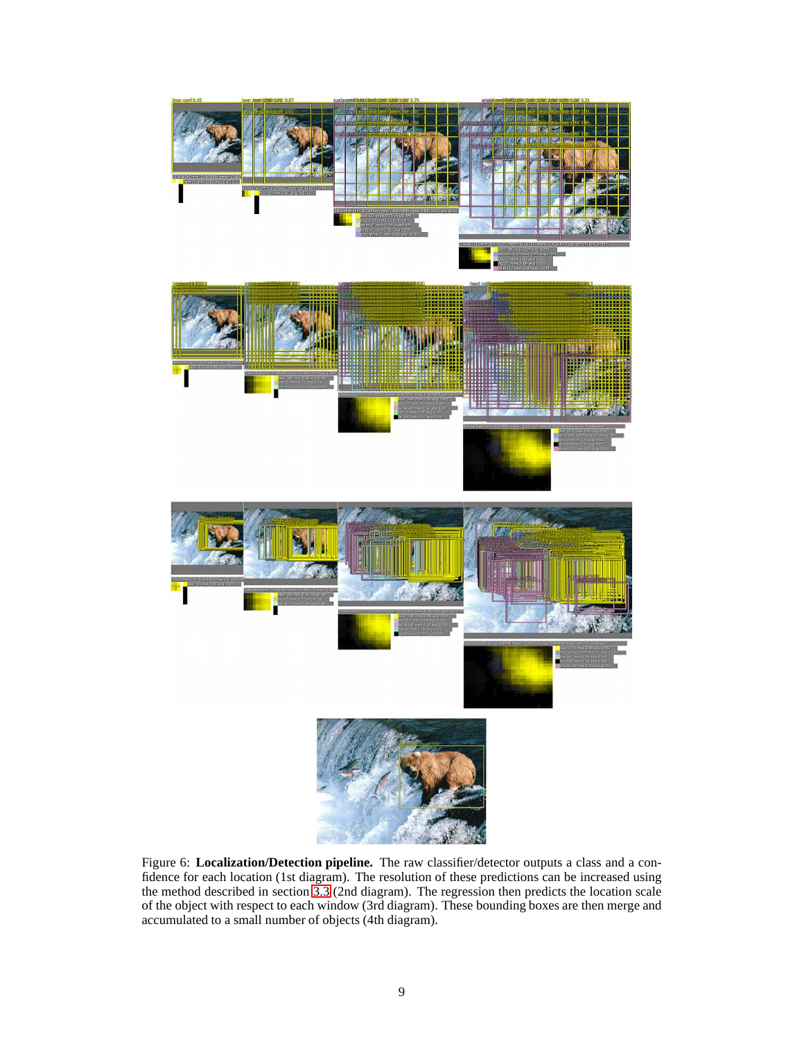<span id="page-8-0"></span>

Figure 6: **Localization/Detection pipeline.** The raw classifier/detector outputs a class and a confidence for each location (1st diagram). The resolution of these predictions can be increased using the method described in section [3.3](#page-4-2) (2nd diagram). The regression then predicts the location scale of the object with respect to each window (3rd diagram). These bounding boxes are then merge and accumulated to a small number of objects (4th diagram).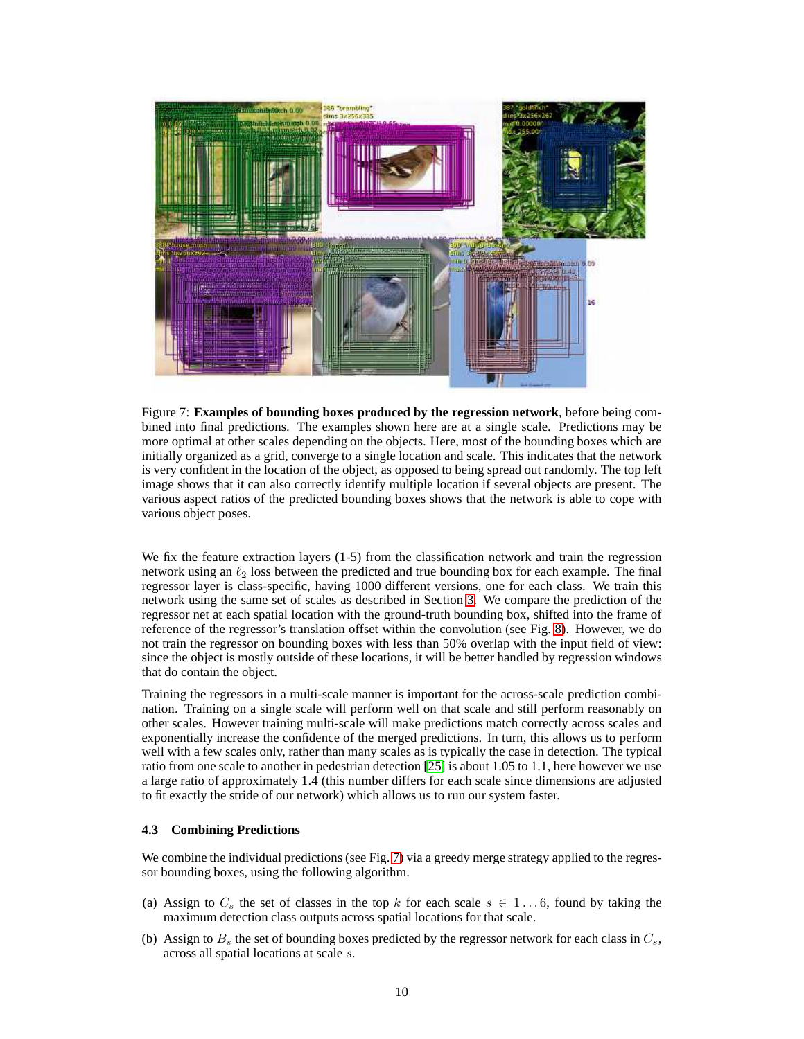

Figure 7: **Examples of bounding boxes produced by the regression network**, before being combined into final predictions. The examples shown here are at a single scale. Predictions may be more optimal at other scales depending on the objects. Here, most of the bounding boxes which are initially organized as a grid, converge to a single location and scale. This indicates that the network is very confident in the location of the object, as opposed to being spread out randomly. The top left image shows that it can also correctly identify multiple location if several objects are present. The various aspect ratios of the predicted bounding boxes shows that the network is able to cope with various object poses.

<span id="page-9-0"></span>We fix the feature extraction layers (1-5) from the classification network and train the regression network using an  $\ell_2$  loss between the predicted and true bounding box for each example. The final regressor layer is class-specific, having 1000 different versions, one for each class. We train this network using the same set of scales as described in Section [3.](#page-3-1) We compare the prediction of the regressor net at each spatial location with the ground-truth bounding box, shifted into the frame of reference of the regressor's translation offset within the convolution (see Fig. [8\)](#page-10-0). However, we do not train the regressor on bounding boxes with less than 50% overlap with the input field of view: since the object is mostly outside of these locations, it will be better handled by regression windows that do contain the object.

Training the regressors in a multi-scale manner is important for the across-scale prediction combination. Training on a single scale will perform well on that scale and still perform reasonably on other scales. However training multi-scale will make predictions match correctly across scales and exponentially increase the confidence of the merged predictions. In turn, this allows us to perform well with a few scales only, rather than many scales as is typically the case in detection. The typical ratio from one scale to another in pedestrian detection [\[25\]](#page-14-10) is about 1.05 to 1.1, here however we use a large ratio of approximately 1.4 (this number differs for each scale since dimensions are adjusted to fit exactly the stride of our network) which allows us to run our system faster.

#### **4.3 Combining Predictions**

We combine the individual predictions (see Fig. [7\)](#page-9-0) via a greedy merge strategy applied to the regressor bounding boxes, using the following algorithm.

- (a) Assign to  $C_s$  the set of classes in the top k for each scale  $s \in 1...6$ , found by taking the maximum detection class outputs across spatial locations for that scale.
- (b) Assign to  $B_s$  the set of bounding boxes predicted by the regressor network for each class in  $C_s$ , across all spatial locations at scale s.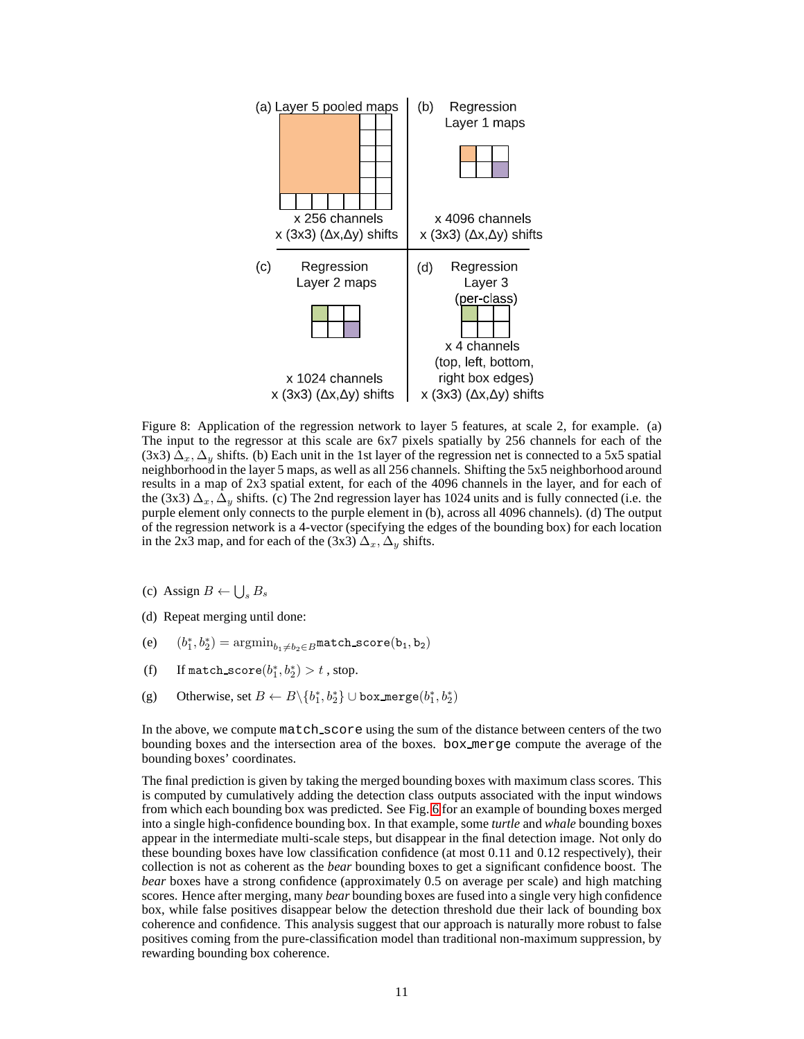

<span id="page-10-0"></span>Figure 8: Application of the regression network to layer 5 features, at scale 2, for example. (a) The input to the regressor at this scale are 6x7 pixels spatially by 256 channels for each of the  $(3x3) \Delta_x, \Delta_y$  shifts. (b) Each unit in the 1st layer of the regression net is connected to a 5x5 spatial neighborhood in the layer 5 maps, as well as all 256 channels. Shifting the 5x5 neighborhood around results in a map of 2x3 spatial extent, for each of the 4096 channels in the layer, and for each of the (3x3)  $\Delta_x$ ,  $\Delta_y$  shifts. (c) The 2nd regression layer has 1024 units and is fully connected (i.e. the purple element only connects to the purple element in (b), across all 4096 channels). (d) The output of the regression network is a 4-vector (specifying the edges of the bounding box) for each location in the 2x3 map, and for each of the (3x3)  $\Delta_x, \Delta_y$  shifts.

- (c) Assign  $B \leftarrow \bigcup_s B_s$
- (d) Repeat merging until done:
- $(e)$  $h_1^*, b_2^*) = \text{argmin}_{b_1 \neq b_2 \in B} \texttt{match\_score}(b_1, b_2)$
- (f) If match\_score $(b_1^*, b_2^*) > t$ , stop.
- (g) Otherwise, set  $B \leftarrow B \setminus \{b_1^*, b_2^*\} \cup \texttt{box\_merge}(b_1^*, b_2^*)$

In the above, we compute match\_score using the sum of the distance between centers of the two bounding boxes and the intersection area of the boxes. box merge compute the average of the bounding boxes' coordinates.

The final prediction is given by taking the merged bounding boxes with maximum class scores. This is computed by cumulatively adding the detection class outputs associated with the input windows from which each bounding box was predicted. See Fig. [6](#page-8-0) for an example of bounding boxes merged into a single high-confidence bounding box. In that example, some *turtle* and *whale* bounding boxes appear in the intermediate multi-scale steps, but disappear in the final detection image. Not only do these bounding boxes have low classification confidence (at most 0.11 and 0.12 respectively), their collection is not as coherent as the *bear* bounding boxes to get a significant confidence boost. The *bear* boxes have a strong confidence (approximately 0.5 on average per scale) and high matching scores. Hence after merging, many *bear* bounding boxes are fused into a single very high confidence box, while false positives disappear below the detection threshold due their lack of bounding box coherence and confidence. This analysis suggest that our approach is naturally more robust to false positives coming from the pure-classification model than traditional non-maximum suppression, by rewarding bounding box coherence.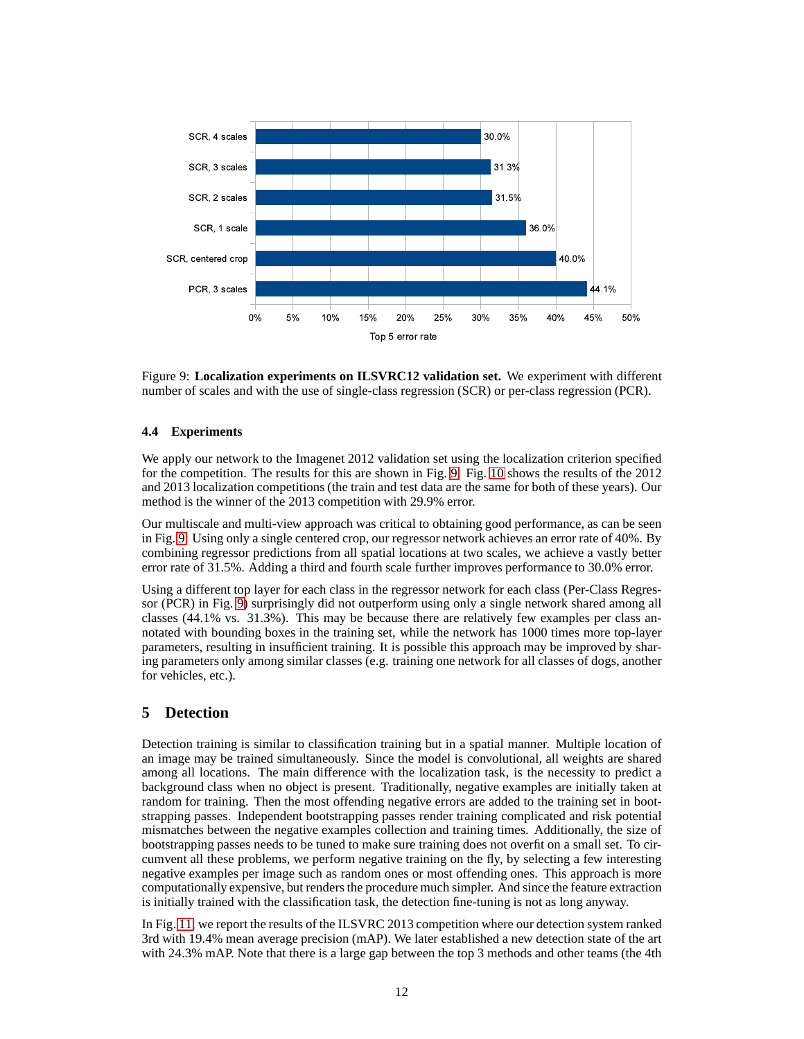

<span id="page-11-0"></span>Figure 9: **Localization experiments on ILSVRC12 validation set.** We experiment with different number of scales and with the use of single-class regression (SCR) or per-class regression (PCR).

## **4.4 Experiments**

We apply our network to the Imagenet 2012 validation set using the localization criterion specified for the competition. The results for this are shown in Fig. [9.](#page-11-0) Fig. [10](#page-12-0) shows the results of the 2012 and 2013 localization competitions (the train and test data are the same for both of these years). Our method is the winner of the 2013 competition with 29.9% error.

Our multiscale and multi-view approach was critical to obtaining good performance, as can be seen in Fig. [9:](#page-11-0) Using only a single centered crop, our regressor network achieves an error rate of 40%. By combining regressor predictions from all spatial locations at two scales, we achieve a vastly better error rate of 31.5%. Adding a third and fourth scale further improves performance to 30.0% error.

Using a different top layer for each class in the regressor network for each class (Per-Class Regressor (PCR) in Fig. [9\)](#page-11-0) surprisingly did not outperform using only a single network shared among all classes (44.1% vs. 31.3%). This may be because there are relatively few examples per class annotated with bounding boxes in the training set, while the network has 1000 times more top-layer parameters, resulting in insufficient training. It is possible this approach may be improved by sharing parameters only among similar classes (e.g. training one network for all classes of dogs, another for vehicles, etc.).

# **5 Detection**

Detection training is similar to classification training but in a spatial manner. Multiple location of an image may be trained simultaneously. Since the model is convolutional, all weights are shared among all locations. The main difference with the localization task, is the necessity to predict a background class when no object is present. Traditionally, negative examples are initially taken at random for training. Then the most offending negative errors are added to the training set in bootstrapping passes. Independent bootstrapping passes render training complicated and risk potential mismatches between the negative examples collection and training times. Additionally, the size of bootstrapping passes needs to be tuned to make sure training does not overfit on a small set. To circumvent all these problems, we perform negative training on the fly, by selecting a few interesting negative examples per image such as random ones or most offending ones. This approach is more computationally expensive, but renders the procedure much simpler. And since the feature extraction is initially trained with the classification task, the detection fine-tuning is not as long anyway.

In Fig. [11,](#page-12-1) we report the results of the ILSVRC 2013 competition where our detection system ranked 3rd with 19.4% mean average precision (mAP). We later established a new detection state of the art with 24.3% mAP. Note that there is a large gap between the top 3 methods and other teams (the 4th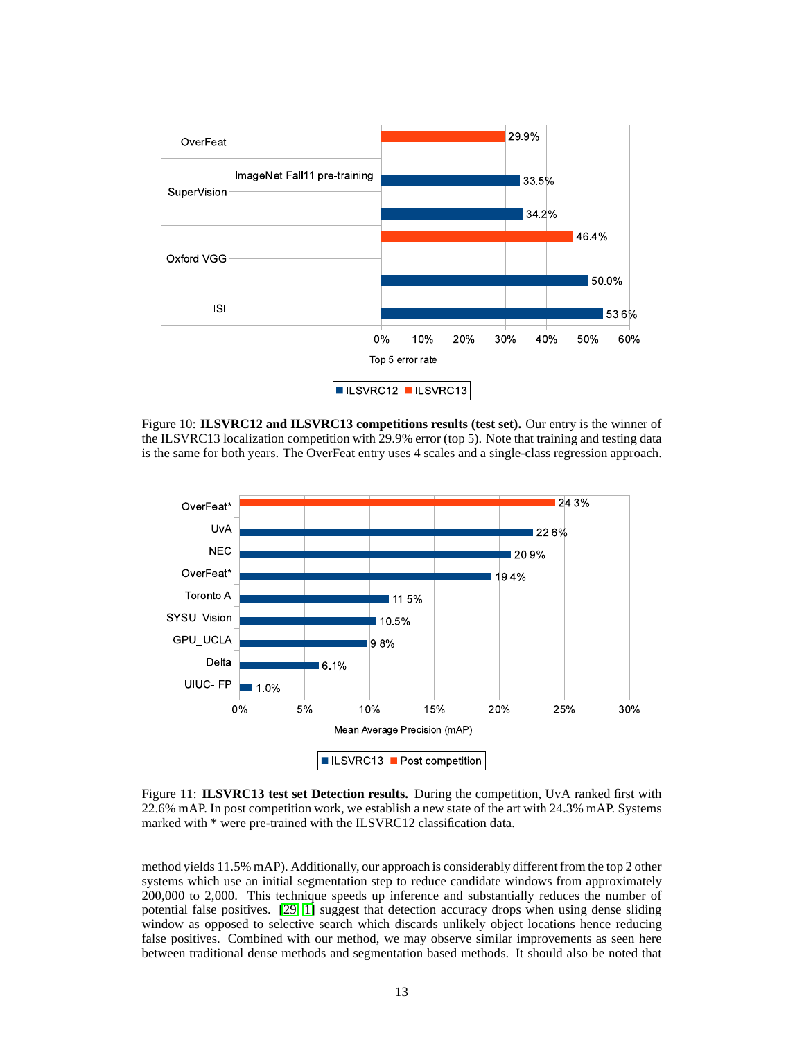

<span id="page-12-0"></span>Figure 10: **ILSVRC12 and ILSVRC13 competitions results (test set).** Our entry is the winner of the ILSVRC13 localization competition with 29.9% error (top 5). Note that training and testing data is the same for both years. The OverFeat entry uses 4 scales and a single-class regression approach.



<span id="page-12-1"></span>Figure 11: **ILSVRC13 test set Detection results.** During the competition, UvA ranked first with 22.6% mAP. In post competition work, we establish a new state of the art with 24.3% mAP. Systems marked with \* were pre-trained with the ILSVRC12 classification data.

method yields 11.5% mAP). Additionally, our approach is considerably different from the top 2 other systems which use an initial segmentation step to reduce candidate windows from approximately 200,000 to 2,000. This technique speeds up inference and substantially reduces the number of potential false positives. [\[29,](#page-14-15) [1\]](#page-13-11) suggest that detection accuracy drops when using dense sliding window as opposed to selective search which discards unlikely object locations hence reducing false positives. Combined with our method, we may observe similar improvements as seen here between traditional dense methods and segmentation based methods. It should also be noted that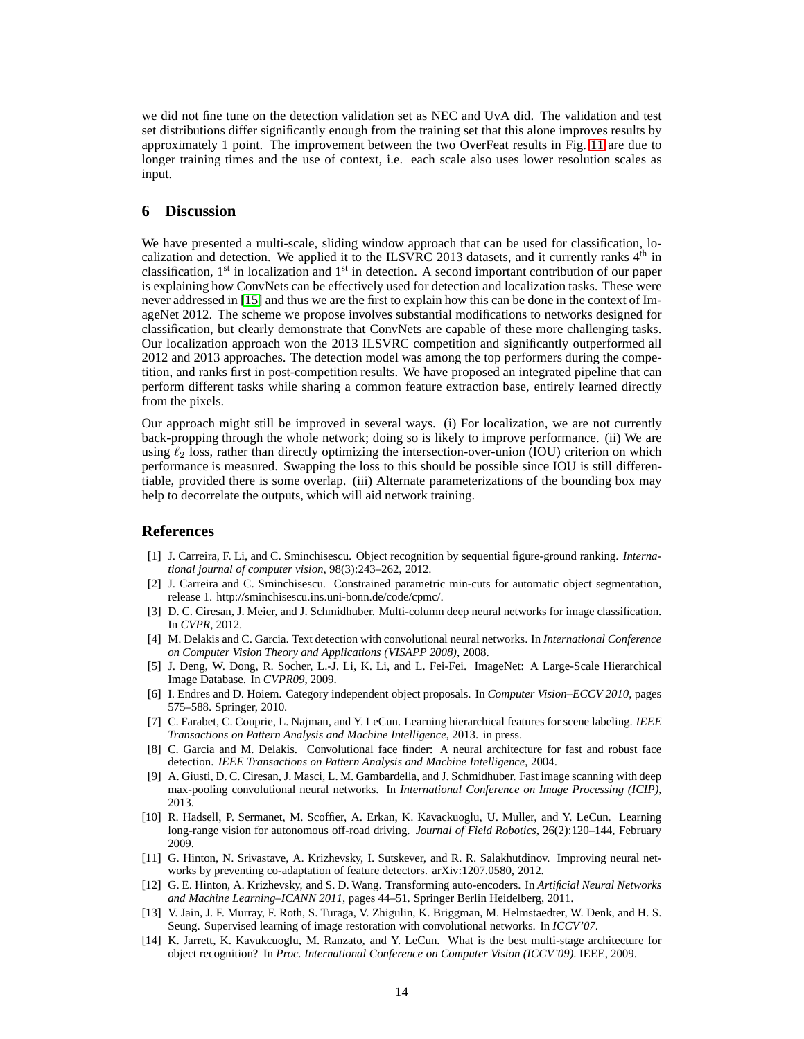we did not fine tune on the detection validation set as NEC and UvA did. The validation and test set distributions differ significantly enough from the training set that this alone improves results by approximately 1 point. The improvement between the two OverFeat results in Fig. [11](#page-12-1) are due to longer training times and the use of context, i.e. each scale also uses lower resolution scales as input.

## <span id="page-13-12"></span>**6 Discussion**

We have presented a multi-scale, sliding window approach that can be used for classification, localization and detection. We applied it to the ILSVRC 2013 datasets, and it currently ranks  $4<sup>th</sup>$  in classification,  $1<sup>st</sup>$  in localization and  $1<sup>st</sup>$  in detection. A second important contribution of our paper is explaining how ConvNets can be effectively used for detection and localization tasks. These were never addressed in [\[15\]](#page-14-5) and thus we are the first to explain how this can be done in the context of ImageNet 2012. The scheme we propose involves substantial modifications to networks designed for classification, but clearly demonstrate that ConvNets are capable of these more challenging tasks. Our localization approach won the 2013 ILSVRC competition and significantly outperformed all 2012 and 2013 approaches. The detection model was among the top performers during the competition, and ranks first in post-competition results. We have proposed an integrated pipeline that can perform different tasks while sharing a common feature extraction base, entirely learned directly from the pixels.

Our approach might still be improved in several ways. (i) For localization, we are not currently back-propping through the whole network; doing so is likely to improve performance. (ii) We are using  $\ell_2$  loss, rather than directly optimizing the intersection-over-union (IOU) criterion on which performance is measured. Swapping the loss to this should be possible since IOU is still differentiable, provided there is some overlap. (iii) Alternate parameterizations of the bounding box may help to decorrelate the outputs, which will aid network training.

#### <span id="page-13-11"></span>**References**

- [1] J. Carreira, F. Li, and C. Sminchisescu. Object recognition by sequential figure-ground ranking. *International journal of computer vision*, 98(3):243–262, 2012.
- <span id="page-13-9"></span>[2] J. Carreira and C. Sminchisescu. Constrained parametric min-cuts for automatic object segmentation, release 1. http://sminchisescu.ins.uni-bonn.de/code/cpmc/.
- <span id="page-13-0"></span>[3] D. C. Ciresan, J. Meier, and J. Schmidhuber. Multi-column deep neural networks for image classification. In *CVPR*, 2012.
- <span id="page-13-3"></span>[4] M. Delakis and C. Garcia. Text detection with convolutional neural networks. In *International Conference on Computer Vision Theory and Applications (VISAPP 2008)*, 2008.
- <span id="page-13-2"></span>[5] J. Deng, W. Dong, R. Socher, L.-J. Li, K. Li, and L. Fei-Fei. ImageNet: A Large-Scale Hierarchical Image Database. In *CVPR09*, 2009.
- <span id="page-13-10"></span>[6] I. Endres and D. Hoiem. Category independent object proposals. In *Computer Vision–ECCV 2010*, pages 575–588. Springer, 2010.
- <span id="page-13-8"></span>[7] C. Farabet, C. Couprie, L. Najman, and Y. LeCun. Learning hierarchical features for scene labeling. *IEEE Transactions on Pattern Analysis and Machine Intelligence*, 2013. in press.
- <span id="page-13-4"></span>[8] C. Garcia and M. Delakis. Convolutional face finder: A neural architecture for fast and robust face detection. *IEEE Transactions on Pattern Analysis and Machine Intelligence*, 2004.
- <span id="page-13-14"></span>[9] A. Giusti, D. C. Ciresan, J. Masci, L. M. Gambardella, and J. Schmidhuber. Fast image scanning with deep max-pooling convolutional neural networks. In *International Conference on Image Processing (ICIP)*, 2013.
- <span id="page-13-7"></span>[10] R. Hadsell, P. Sermanet, M. Scoffier, A. Erkan, K. Kavackuoglu, U. Muller, and Y. LeCun. Learning long-range vision for autonomous off-road driving. *Journal of Field Robotics*, 26(2):120–144, February 2009.
- <span id="page-13-13"></span>[11] G. Hinton, N. Srivastave, A. Krizhevsky, I. Sutskever, and R. R. Salakhutdinov. Improving neural networks by preventing co-adaptation of feature detectors. arXiv:1207.0580, 2012.
- <span id="page-13-5"></span>[12] G. E. Hinton, A. Krizhevsky, and S. D. Wang. Transforming auto-encoders. In *Artificial Neural Networks and Machine Learning–ICANN 2011*, pages 44–51. Springer Berlin Heidelberg, 2011.
- <span id="page-13-6"></span>[13] V. Jain, J. F. Murray, F. Roth, S. Turaga, V. Zhigulin, K. Briggman, M. Helmstaedter, W. Denk, and H. S. Seung. Supervised learning of image restoration with convolutional networks. In *ICCV'07*.
- <span id="page-13-1"></span>[14] K. Jarrett, K. Kavukcuoglu, M. Ranzato, and Y. LeCun. What is the best multi-stage architecture for object recognition? In *Proc. International Conference on Computer Vision (ICCV'09)*. IEEE, 2009.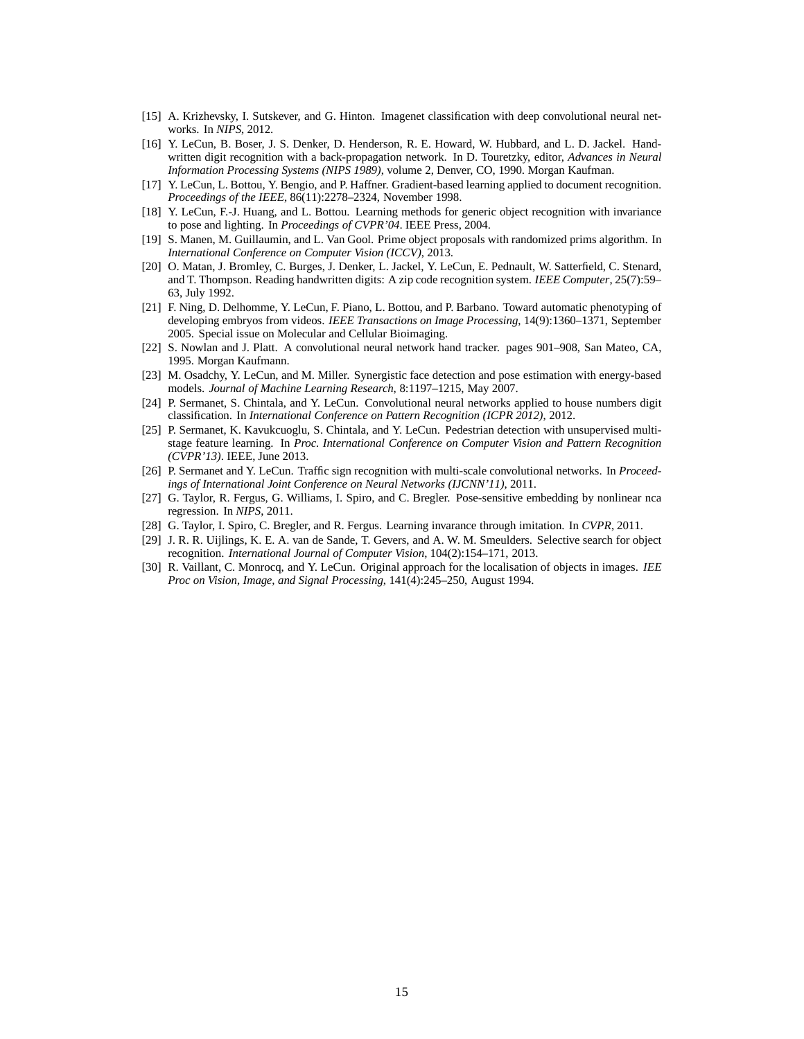- <span id="page-14-5"></span><span id="page-14-1"></span>[15] A. Krizhevsky, I. Sutskever, and G. Hinton. Imagenet classification with deep convolutional neural networks. In *NIPS*, 2012.
- [16] Y. LeCun, B. Boser, J. S. Denker, D. Henderson, R. E. Howard, W. Hubbard, and L. D. Jackel. Handwritten digit recognition with a back-propagation network. In D. Touretzky, editor, *Advances in Neural Information Processing Systems (NIPS 1989)*, volume 2, Denver, CO, 1990. Morgan Kaufman.
- <span id="page-14-3"></span><span id="page-14-0"></span>[17] Y. LeCun, L. Bottou, Y. Bengio, and P. Haffner. Gradient-based learning applied to document recognition. *Proceedings of the IEEE*, 86(11):2278–2324, November 1998.
- [18] Y. LeCun, F.-J. Huang, and L. Bottou. Learning methods for generic object recognition with invariance to pose and lighting. In *Proceedings of CVPR'04*. IEEE Press, 2004.
- <span id="page-14-14"></span>[19] S. Manen, M. Guillaumin, and L. Van Gool. Prime object proposals with randomized prims algorithm. In *International Conference on Computer Vision (ICCV)*, 2013.
- <span id="page-14-6"></span>[20] O. Matan, J. Bromley, C. Burges, J. Denker, L. Jackel, Y. LeCun, E. Pednault, W. Satterfield, C. Stenard, and T. Thompson. Reading handwritten digits: A zip code recognition system. *IEEE Computer*, 25(7):59– 63, July 1992.
- <span id="page-14-13"></span>[21] F. Ning, D. Delhomme, Y. LeCun, F. Piano, L. Bottou, and P. Barbano. Toward automatic phenotyping of developing embryos from videos. *IEEE Transactions on Image Processing*, 14(9):1360–1371, September 2005. Special issue on Molecular and Cellular Bioimaging.
- <span id="page-14-8"></span>[22] S. Nowlan and J. Platt. A convolutional neural network hand tracker. pages 901–908, San Mateo, CA, 1995. Morgan Kaufmann.
- <span id="page-14-9"></span>[23] M. Osadchy, Y. LeCun, and M. Miller. Synergistic face detection and pose estimation with energy-based models. *Journal of Machine Learning Research*, 8:1197–1215, May 2007.
- <span id="page-14-2"></span>[24] P. Sermanet, S. Chintala, and Y. LeCun. Convolutional neural networks applied to house numbers digit classification. In *International Conference on Pattern Recognition (ICPR 2012)*, 2012.
- <span id="page-14-10"></span>[25] P. Sermanet, K. Kavukcuoglu, S. Chintala, and Y. LeCun. Pedestrian detection with unsupervised multistage feature learning. In *Proc. International Conference on Computer Vision and Pattern Recognition (CVPR'13)*. IEEE, June 2013.
- <span id="page-14-4"></span>[26] P. Sermanet and Y. LeCun. Traffic sign recognition with multi-scale convolutional networks. In *Proceedings of International Joint Conference on Neural Networks (IJCNN'11)*, 2011.
- <span id="page-14-11"></span>[27] G. Taylor, R. Fergus, G. Williams, I. Spiro, and C. Bregler. Pose-sensitive embedding by nonlinear nca regression. In *NIPS*, 2011.
- <span id="page-14-15"></span><span id="page-14-12"></span>[28] G. Taylor, I. Spiro, C. Bregler, and R. Fergus. Learning invarance through imitation. In *CVPR*, 2011.
- [29] J. R. R. Uijlings, K. E. A. van de Sande, T. Gevers, and A. W. M. Smeulders. Selective search for object recognition. *International Journal of Computer Vision*, 104(2):154–171, 2013.
- <span id="page-14-7"></span>[30] R. Vaillant, C. Monrocq, and Y. LeCun. Original approach for the localisation of objects in images. *IEE Proc on Vision, Image, and Signal Processing*, 141(4):245–250, August 1994.